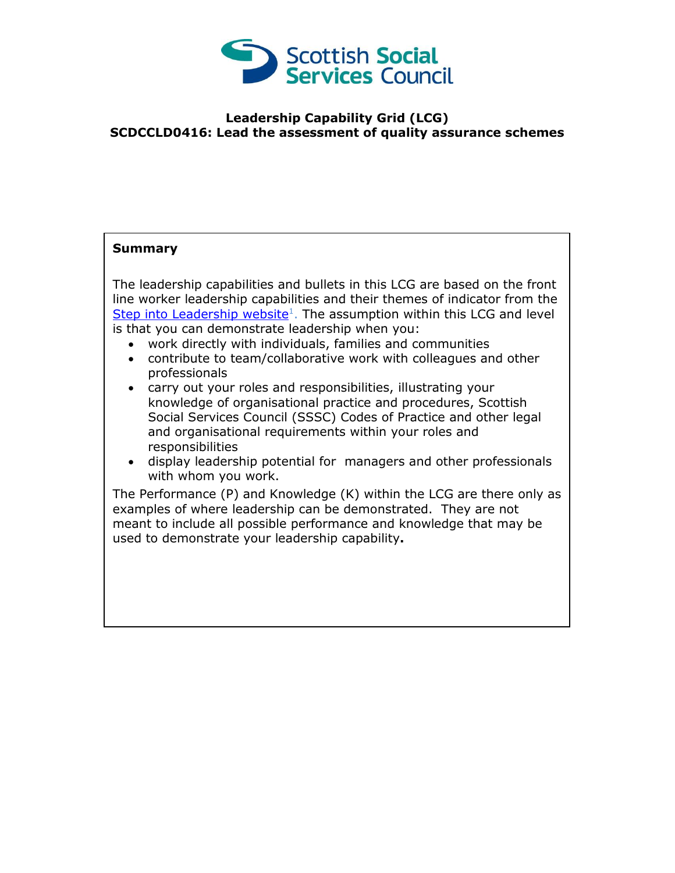

## **Leadership Capability Grid (LCG) SCDCCLD0416: Lead the assessment of quality assurance schemes**

## **Summary**

The leadership capabilities and bullets in this LCG are based on the front line worker leadership capabilities and their themes of indicator from the [Step into Leadership website](http://www.stepintoleadership.info/)<sup>1</sup>. The assumption within this LCG and level is that you can demonstrate leadership when you:

- work directly with individuals, families and communities
- contribute to team/collaborative work with colleagues and other professionals
- carry out your roles and responsibilities, illustrating your knowledge of organisational practice and procedures, Scottish Social Services Council (SSSC) Codes of Practice and other legal and organisational requirements within your roles and responsibilities
- display leadership potential for managers and other professionals with whom you work.

The Performance (P) and Knowledge (K) within the LCG are there only as examples of where leadership can be demonstrated. They are not meant to include all possible performance and knowledge that may be used to demonstrate your leadership capability**.**